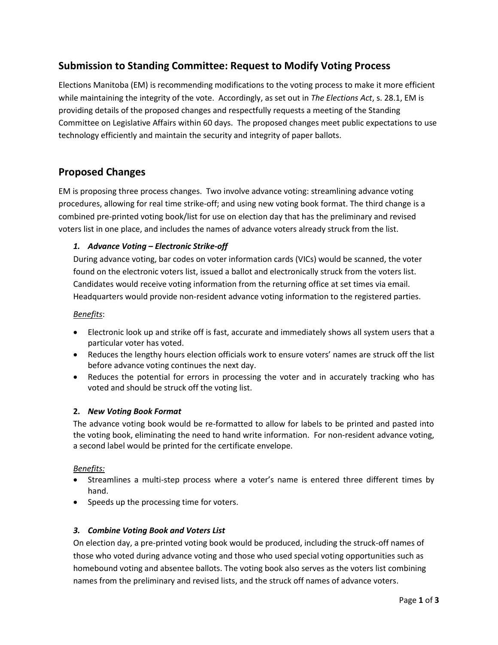## **Submission to Standing Committee: Request to Modify Voting Process**

Elections Manitoba (EM) is recommending modifications to the voting process to make it more efficient while maintaining the integrity of the vote. Accordingly, as set out in *The Elections Act*, s. 28.1, EM is providing details of the proposed changes and respectfully requests a meeting of the Standing Committee on Legislative Affairs within 60 days. The proposed changes meet public expectations to use technology efficiently and maintain the security and integrity of paper ballots.

### **Proposed Changes**

EM is proposing three process changes. Two involve advance voting: streamlining advance voting procedures, allowing for real time strike-off; and using new voting book format. The third change is a combined pre-printed voting book/list for use on election day that has the preliminary and revised voters list in one place, and includes the names of advance voters already struck from the list.

### *1. Advance Voting – Electronic Strike-off*

During advance voting, bar codes on voter information cards (VICs) would be scanned, the voter found on the electronic voters list, issued a ballot and electronically struck from the voters list. Candidates would receive voting information from the returning office at set times via email. Headquarters would provide non-resident advance voting information to the registered parties.

#### *Benefits*:

- Electronic look up and strike off is fast, accurate and immediately shows all system users that a particular voter has voted.
- Reduces the lengthy hours election officials work to ensure voters' names are struck off the list before advance voting continues the next day.
- Reduces the potential for errors in processing the voter and in accurately tracking who has voted and should be struck off the voting list.

#### **2.** *New Voting Book Format*

The advance voting book would be re-formatted to allow for labels to be printed and pasted into the voting book, eliminating the need to hand write information. For non-resident advance voting, a second label would be printed for the certificate envelope.

### *Benefits:*

- Streamlines a multi-step process where a voter's name is entered three different times by hand.
- Speeds up the processing time for voters.

#### *3. Combine Voting Book and Voters List*

On election day, a pre-printed voting book would be produced, including the struck-off names of those who voted during advance voting and those who used special voting opportunities such as homebound voting and absentee ballots. The voting book also serves as the voters list combining names from the preliminary and revised lists, and the struck off names of advance voters.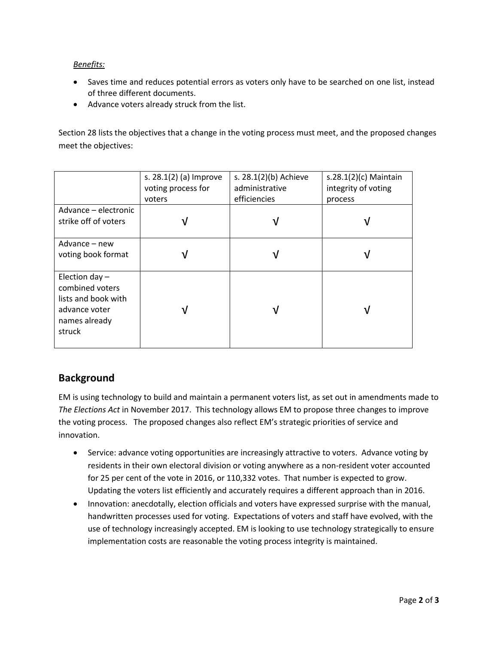*Benefits:*

- Saves time and reduces potential errors as voters only have to be searched on one list, instead of three different documents.
- Advance voters already struck from the list.

Section 28 lists the objectives that a change in the voting process must meet, and the proposed changes meet the objectives:

|                                                                                                        | s. 28.1(2) (a) Improve       | s. 28.1(2)(b) Achieve          | s.28.1 $(2)(c)$ Maintain       |
|--------------------------------------------------------------------------------------------------------|------------------------------|--------------------------------|--------------------------------|
|                                                                                                        | voting process for<br>voters | administrative<br>efficiencies | integrity of voting<br>process |
| Advance - electronic<br>strike off of voters                                                           |                              | ν                              |                                |
| Advance – new<br>voting book format                                                                    |                              | ν                              |                                |
| Election day $-$<br>combined voters<br>lists and book with<br>advance voter<br>names already<br>struck |                              | V                              |                                |

# **Background**

EM is using technology to build and maintain a permanent voters list, as set out in amendments made to *The Elections Act* in November 2017. This technology allows EM to propose three changes to improve the voting process. The proposed changes also reflect EM's strategic priorities of service and innovation.

- Service: advance voting opportunities are increasingly attractive to voters. Advance voting by residents in their own electoral division or voting anywhere as a non-resident voter accounted for 25 per cent of the vote in 2016, or 110,332 votes. That number is expected to grow. Updating the voters list efficiently and accurately requires a different approach than in 2016.
- Innovation: anecdotally, election officials and voters have expressed surprise with the manual, handwritten processes used for voting. Expectations of voters and staff have evolved, with the use of technology increasingly accepted. EM is looking to use technology strategically to ensure implementation costs are reasonable the voting process integrity is maintained.